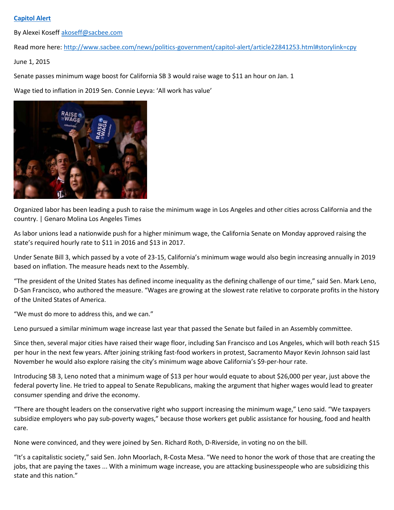## **[Capitol Alert](http://www.sacbee.com/news/politics-government/capitol-alert/)**

By Alexei Koseff [akoseff@sacbee.com](mailto:akoseff@sacbee.com)

Read more here:<http://www.sacbee.com/news/politics-government/capitol-alert/article22841253.html#storylink=cpy>

June 1, 2015

Senate passes minimum wage boost for California SB 3 would raise wage to \$11 an hour on Jan. 1

Wage tied to inflation in 2019 Sen. Connie Leyva: 'All work has value'



Organized labor has been leading a push to raise the minimum wage in Los Angeles and other cities across California and the country. | Genaro Molina Los Angeles Times

As labor unions lead a nationwide push for a higher minimum wage, the California Senate on Monday approved raising the state's required hourly rate to \$11 in 2016 and \$13 in 2017.

Under Senate Bill 3, which passed by a vote of 23-15, California's minimum wage would also begin increasing annually in 2019 based on inflation. The measure heads next to the Assembly.

"The president of the United States has defined income inequality as the defining challenge of our time," said Sen. Mark Leno, D-San Francisco, who authored the measure. "Wages are growing at the slowest rate relative to corporate profits in the history of the United States of America.

"We must do more to address this, and we can."

Leno pursued a similar minimum wage increase last year that passed the Senate but failed in an Assembly committee.

Since then, several major cities have raised their wage floor, including San Francisco and Los Angeles, which will both reach \$15 per hour in the next few years. After joining striking fast-food workers in protest, Sacramento Mayor Kevin Johnson said last November he would also explore raising the city's minimum wage above California's \$9-per-hour rate.

Introducing SB 3, Leno noted that a minimum wage of \$13 per hour would equate to about \$26,000 per year, just above the federal poverty line. He tried to appeal to Senate Republicans, making the argument that higher wages would lead to greater consumer spending and drive the economy.

"There are thought leaders on the conservative right who support increasing the minimum wage," Leno said. "We taxpayers subsidize employers who pay sub-poverty wages," because those workers get public assistance for housing, food and health care.

None were convinced, and they were joined by Sen. Richard Roth, D-Riverside, in voting no on the bill.

"It's a capitalistic society," said Sen. John Moorlach, R-Costa Mesa. "We need to honor the work of those that are creating the jobs, that are paying the taxes ... With a minimum wage increase, you are attacking businesspeople who are subsidizing this state and this nation."